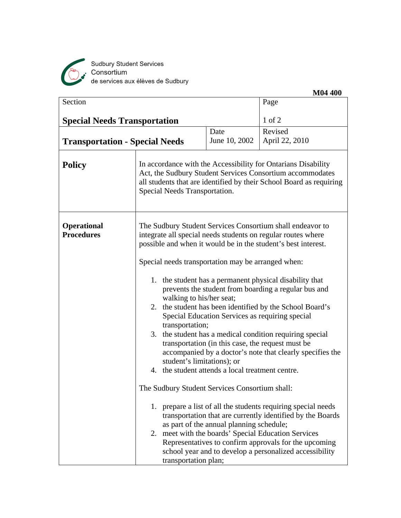

Sudbury Student Services<br>Consortium<br>de services aux élèves de Sudbury

|                                         |                                                                  |                                                                                                                                                                                                                                                                                                                                                                                                                                                                                                                                                                                                                                                                                                                                                                                                                                                                                                                   | <b>M04 400</b>                                                                                                                                                          |  |
|-----------------------------------------|------------------------------------------------------------------|-------------------------------------------------------------------------------------------------------------------------------------------------------------------------------------------------------------------------------------------------------------------------------------------------------------------------------------------------------------------------------------------------------------------------------------------------------------------------------------------------------------------------------------------------------------------------------------------------------------------------------------------------------------------------------------------------------------------------------------------------------------------------------------------------------------------------------------------------------------------------------------------------------------------|-------------------------------------------------------------------------------------------------------------------------------------------------------------------------|--|
| Section                                 |                                                                  | Page                                                                                                                                                                                                                                                                                                                                                                                                                                                                                                                                                                                                                                                                                                                                                                                                                                                                                                              |                                                                                                                                                                         |  |
| <b>Special Needs Transportation</b>     |                                                                  |                                                                                                                                                                                                                                                                                                                                                                                                                                                                                                                                                                                                                                                                                                                                                                                                                                                                                                                   | $1$ of $2$                                                                                                                                                              |  |
|                                         |                                                                  | Date                                                                                                                                                                                                                                                                                                                                                                                                                                                                                                                                                                                                                                                                                                                                                                                                                                                                                                              | Revised                                                                                                                                                                 |  |
| <b>Transportation - Special Needs</b>   |                                                                  | June 10, 2002                                                                                                                                                                                                                                                                                                                                                                                                                                                                                                                                                                                                                                                                                                                                                                                                                                                                                                     | April 22, 2010                                                                                                                                                          |  |
| <b>Policy</b>                           |                                                                  | In accordance with the Accessibility for Ontarians Disability<br>Act, the Sudbury Student Services Consortium accommodates<br>all students that are identified by their School Board as requiring<br>Special Needs Transportation.                                                                                                                                                                                                                                                                                                                                                                                                                                                                                                                                                                                                                                                                                |                                                                                                                                                                         |  |
| <b>Operational</b><br><b>Procedures</b> | 3.<br>transportation that are currently identified by the Boards | The Sudbury Student Services Consortium shall endeavor to<br>integrate all special needs students on regular routes where<br>possible and when it would be in the student's best interest.<br>Special needs transportation may be arranged when:<br>1. the student has a permanent physical disability that<br>prevents the student from boarding a regular bus and<br>walking to his/her seat;<br>2. the student has been identified by the School Board's<br>Special Education Services as requiring special<br>transportation;<br>the student has a medical condition requiring special<br>transportation (in this case, the request must be<br>accompanied by a doctor's note that clearly specifies the<br>student's limitations); or<br>4. the student attends a local treatment centre.<br>The Sudbury Student Services Consortium shall:<br>1. prepare a list of all the students requiring special needs |                                                                                                                                                                         |  |
|                                         | transportation plan;                                             | as part of the annual planning schedule;                                                                                                                                                                                                                                                                                                                                                                                                                                                                                                                                                                                                                                                                                                                                                                                                                                                                          | 2. meet with the boards' Special Education Services<br>Representatives to confirm approvals for the upcoming<br>school year and to develop a personalized accessibility |  |